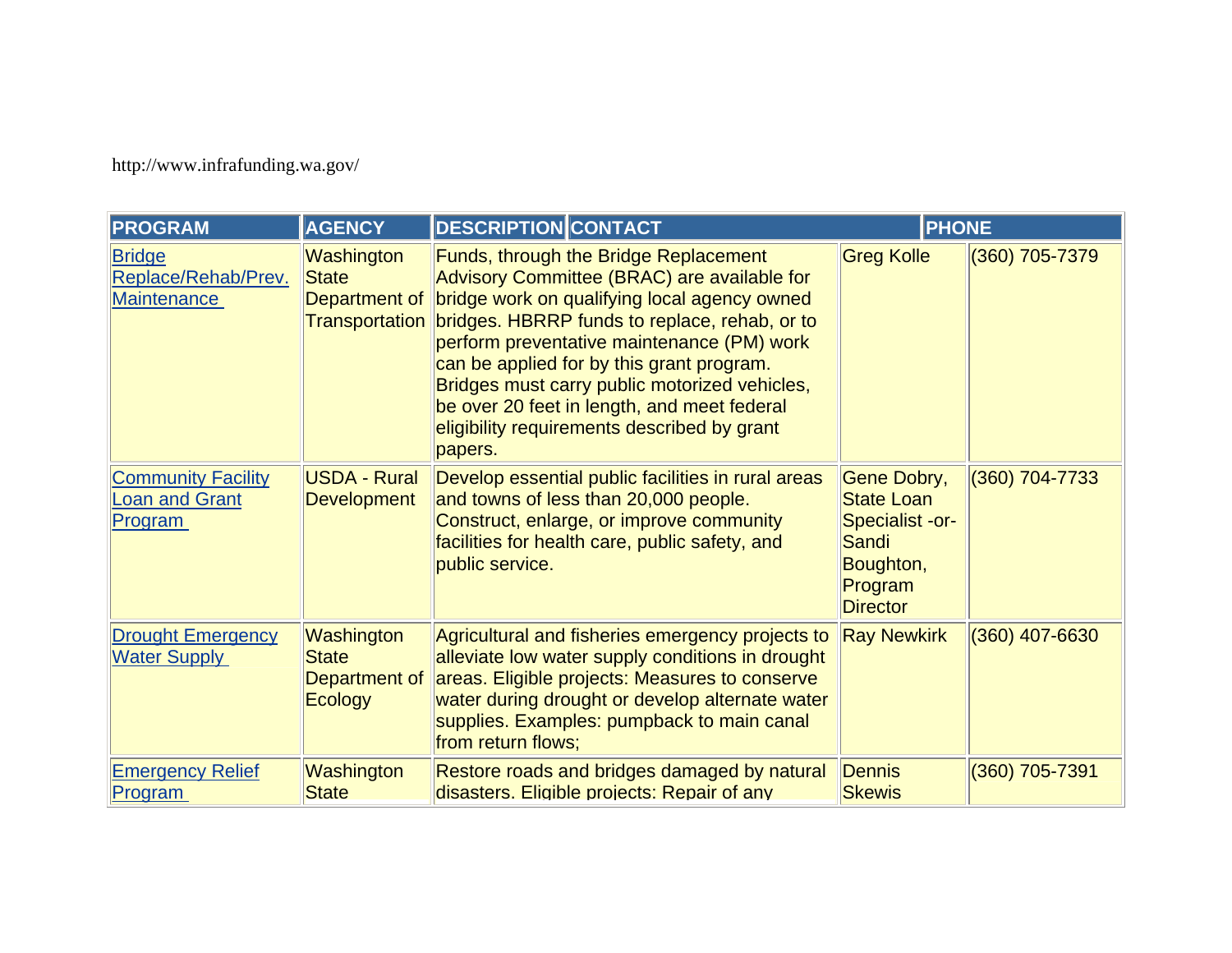http://www.infrafunding.wa.gov/

| <b>PROGRAM</b>                                                | <b>AGENCY</b>                             | <b>DESCRIPTION CONTACT</b>                                                                                                                                                                                                                                                                                                                                                                                                                                                     | <b>PHONE</b>                                                                                            |                  |
|---------------------------------------------------------------|-------------------------------------------|--------------------------------------------------------------------------------------------------------------------------------------------------------------------------------------------------------------------------------------------------------------------------------------------------------------------------------------------------------------------------------------------------------------------------------------------------------------------------------|---------------------------------------------------------------------------------------------------------|------------------|
| <b>Bridge</b><br>Replace/Rehab/Prev.<br><b>Maintenance</b>    | Washington<br><b>State</b>                | <b>Funds, through the Bridge Replacement</b><br>Advisory Committee (BRAC) are available for<br>Department of bridge work on qualifying local agency owned<br>Transportation bridges. HBRRP funds to replace, rehab, or to<br>perform preventative maintenance (PM) work<br>can be applied for by this grant program.<br>Bridges must carry public motorized vehicles,<br>be over 20 feet in length, and meet federal<br>eligibility requirements described by grant<br>papers. | <b>Greg Kolle</b>                                                                                       | (360) 705-7379   |
| <b>Community Facility</b><br><b>Loan and Grant</b><br>Program | <b>USDA - Rural</b><br><b>Development</b> | Develop essential public facilities in rural areas<br>and towns of less than 20,000 people.<br>Construct, enlarge, or improve community<br>facilities for health care, public safety, and<br>public service.                                                                                                                                                                                                                                                                   | Gene Dobry,<br><b>State Loan</b><br>Specialist -or-<br>Sandi<br>Boughton,<br>Program<br><b>Director</b> | (360) 704-7733   |
| <b>Drought Emergency</b><br><b>Water Supply</b>               | Washington<br><b>State</b><br>Ecology     | Agricultural and fisheries emergency projects to<br>alleviate low water supply conditions in drought<br>Department of areas. Eligible projects: Measures to conserve<br>water during drought or develop alternate water<br>supplies. Examples: pumpback to main canal<br>from return flows;                                                                                                                                                                                    | <b>Ray Newkirk</b>                                                                                      | $(360)$ 407-6630 |
| <b>Emergency Relief</b><br>Program                            | Washington<br><b>State</b>                | Restore roads and bridges damaged by natural<br>disasters. Eligible projects: Repair of any                                                                                                                                                                                                                                                                                                                                                                                    | Dennis<br><b>Skewis</b>                                                                                 | $(360)$ 705-7391 |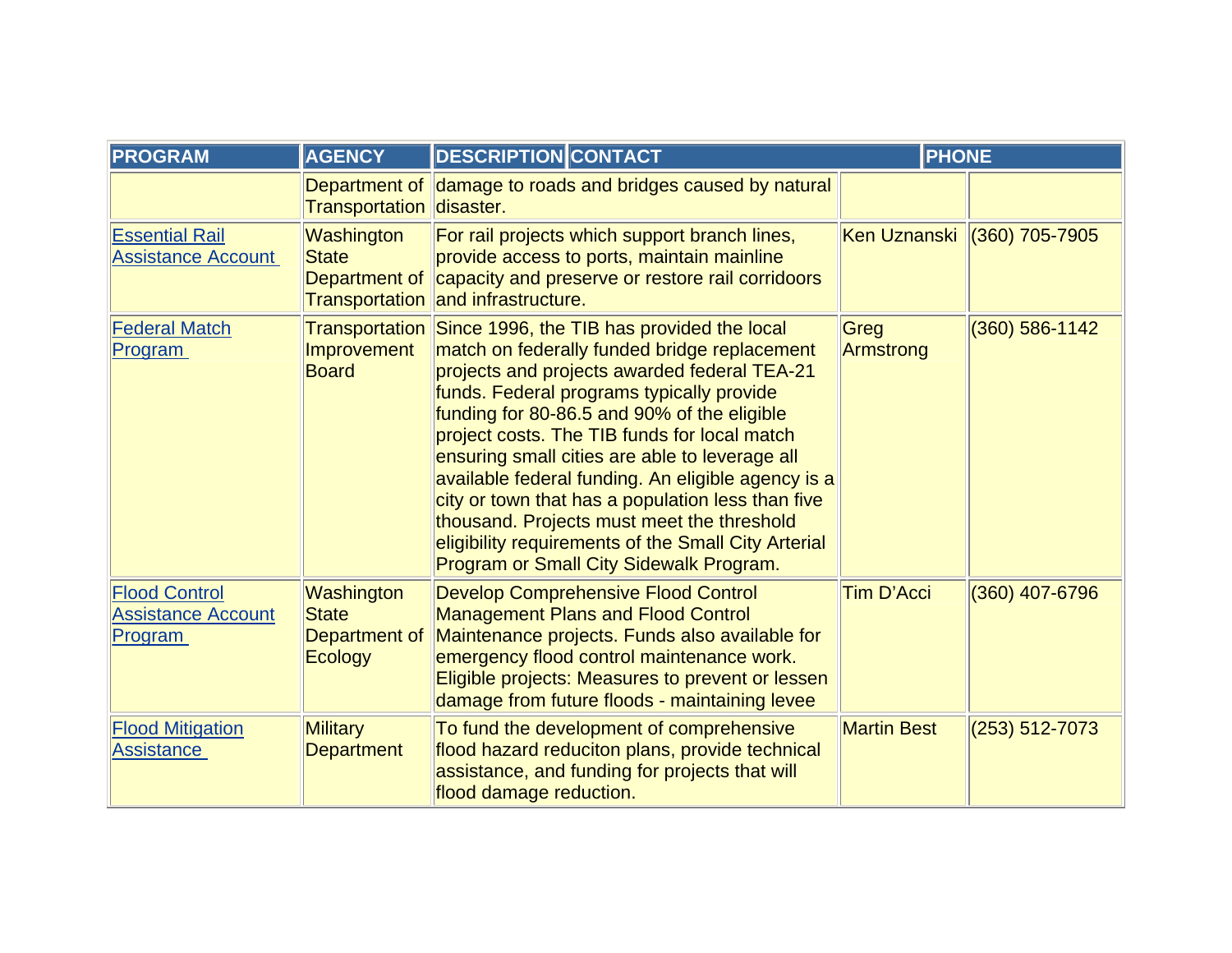| <b>PROGRAM</b>                                               | <b>AGENCY</b>                                          | <b>DESCRIPTION CONTACT</b>                                                                                                                                                                                                                                                                                                                                                                                                                                                                                                                                                                                         | <b>PHONE</b>       |                    |
|--------------------------------------------------------------|--------------------------------------------------------|--------------------------------------------------------------------------------------------------------------------------------------------------------------------------------------------------------------------------------------------------------------------------------------------------------------------------------------------------------------------------------------------------------------------------------------------------------------------------------------------------------------------------------------------------------------------------------------------------------------------|--------------------|--------------------|
|                                                              | Transportation disaster.                               | Department of damage to roads and bridges caused by natural                                                                                                                                                                                                                                                                                                                                                                                                                                                                                                                                                        |                    |                    |
| <b>Essential Rail</b><br><b>Assistance Account</b>           | Washington<br><b>State</b>                             | For rail projects which support branch lines,<br>provide access to ports, maintain mainline<br>Department of capacity and preserve or restore rail corridoors<br>Transportation and infrastructure.                                                                                                                                                                                                                                                                                                                                                                                                                | Ken Uznanski       | $(360)$ 705-7905   |
| <b>Federal Match</b><br>Program                              | Improvement<br><b>Board</b>                            | Transportation Since 1996, the TIB has provided the local<br>match on federally funded bridge replacement<br>projects and projects awarded federal TEA-21<br>funds. Federal programs typically provide<br>funding for 80-86.5 and 90% of the eligible<br>project costs. The TIB funds for local match<br>ensuring small cities are able to leverage all<br>available federal funding. An eligible agency is a<br>city or town that has a population less than five<br>thousand. Projects must meet the threshold<br>eligibility requirements of the Small City Arterial<br>Program or Small City Sidewalk Program. | Greg<br>Armstrong  | $(360) 586 - 1142$ |
| <b>Flood Control</b><br><b>Assistance Account</b><br>Program | Washington<br><b>State</b><br>Department of<br>Ecology | <b>Develop Comprehensive Flood Control</b><br><b>Management Plans and Flood Control</b><br>Maintenance projects. Funds also available for<br>emergency flood control maintenance work.<br>Eligible projects: Measures to prevent or lessen<br>damage from future floods - maintaining levee                                                                                                                                                                                                                                                                                                                        | <b>Tim D'Acci</b>  | (360) 407-6796     |
| <b>Flood Mitigation</b><br><b>Assistance</b>                 | <b>Military</b><br><b>Department</b>                   | To fund the development of comprehensive<br>flood hazard reduciton plans, provide technical<br>assistance, and funding for projects that will<br>flood damage reduction.                                                                                                                                                                                                                                                                                                                                                                                                                                           | <b>Martin Best</b> | $(253) 512 - 7073$ |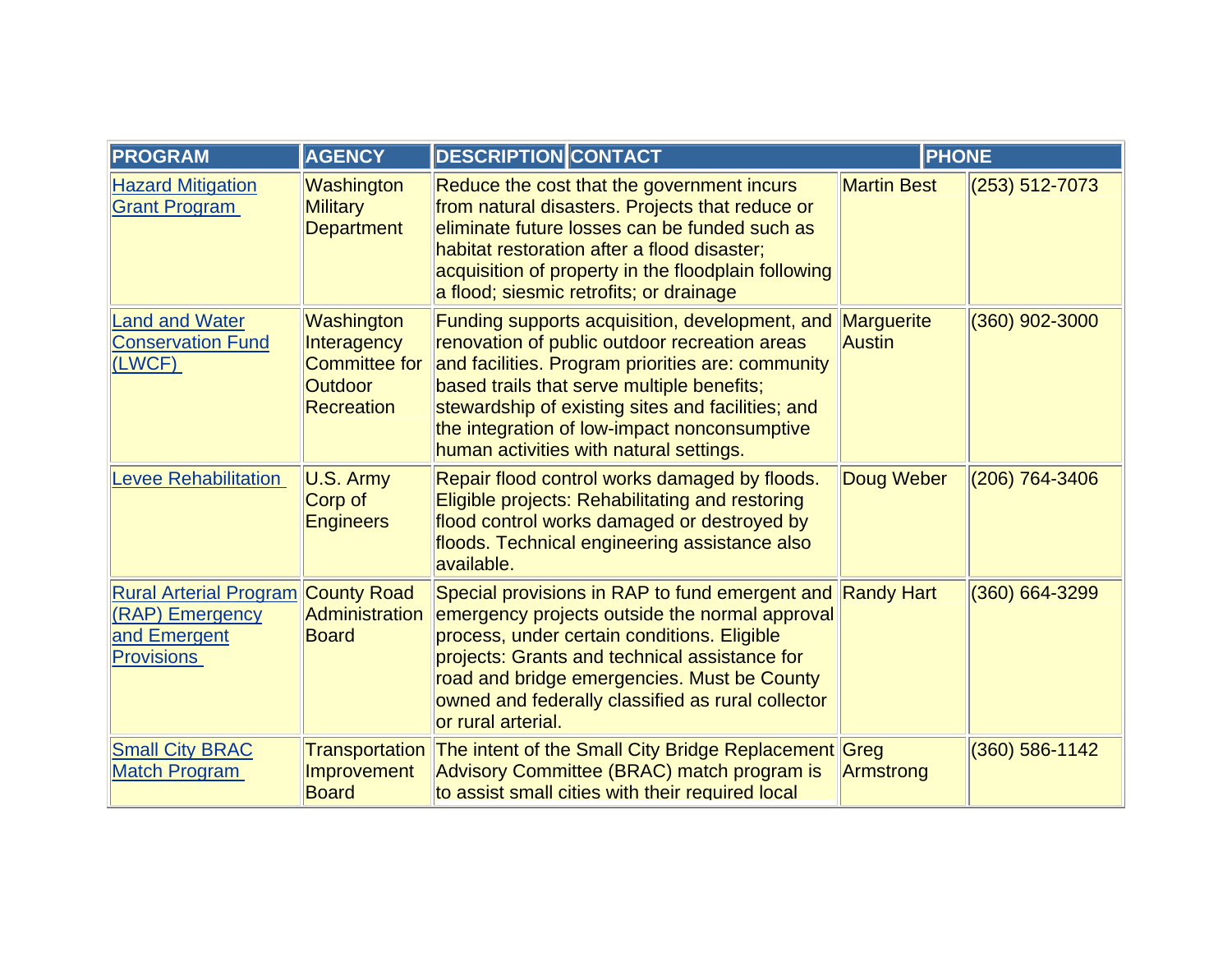| <b>PROGRAM</b>                                                                        | <b>AGENCY</b>                                                                            | <b>DESCRIPTION CONTACT</b>                                                                                                                                                                                                                                                                                                                         | <b>PHONE</b>         |                    |
|---------------------------------------------------------------------------------------|------------------------------------------------------------------------------------------|----------------------------------------------------------------------------------------------------------------------------------------------------------------------------------------------------------------------------------------------------------------------------------------------------------------------------------------------------|----------------------|--------------------|
| <b>Hazard Mitigation</b><br><b>Grant Program</b>                                      | Washington<br><b>Military</b><br><b>Department</b>                                       | Reduce the cost that the government incurs<br>from natural disasters. Projects that reduce or<br>eliminate future losses can be funded such as<br>habitat restoration after a flood disaster;<br>acquisition of property in the floodplain following<br>a flood; siesmic retrofits; or drainage                                                    | <b>Martin Best</b>   | $(253) 512 - 7073$ |
| <b>Land and Water</b><br><b>Conservation Fund</b><br>(LWCF)                           | Washington<br>Interagency<br><b>Committee for</b><br><b>Outdoor</b><br><b>Recreation</b> | Funding supports acquisition, development, and<br>renovation of public outdoor recreation areas<br>and facilities. Program priorities are: community<br>based trails that serve multiple benefits;<br>stewardship of existing sites and facilities; and<br>the integration of low-impact nonconsumptive<br>human activities with natural settings. | Marguerite<br>Austin | $(360)$ 902-3000   |
| <b>Levee Rehabilitation</b>                                                           | U.S. Army<br>Corp of<br><b>Engineers</b>                                                 | Repair flood control works damaged by floods.<br>Eligible projects: Rehabilitating and restoring<br>flood control works damaged or destroyed by<br>floods. Technical engineering assistance also<br>available.                                                                                                                                     | Doug Weber           | $(206)$ 764-3406   |
| <b>Rural Arterial Program</b><br>(RAP) Emergency<br>and Emergent<br><b>Provisions</b> | <b>County Road</b><br><b>Administration</b><br><b>Board</b>                              | Special provisions in RAP to fund emergent and Randy Hart<br>emergency projects outside the normal approval<br>process, under certain conditions. Eligible<br>projects: Grants and technical assistance for<br>road and bridge emergencies. Must be County<br>owned and federally classified as rural collector<br>or rural arterial.              |                      | $(360) 664 - 3299$ |
| <b>Small City BRAC</b><br><b>Match Program</b>                                        | Improvement<br><b>Board</b>                                                              | Transportation The intent of the Small City Bridge Replacement Greg<br>Advisory Committee (BRAC) match program is<br>to assist small cities with their required local                                                                                                                                                                              | Armstrong            | $(360) 586 - 1142$ |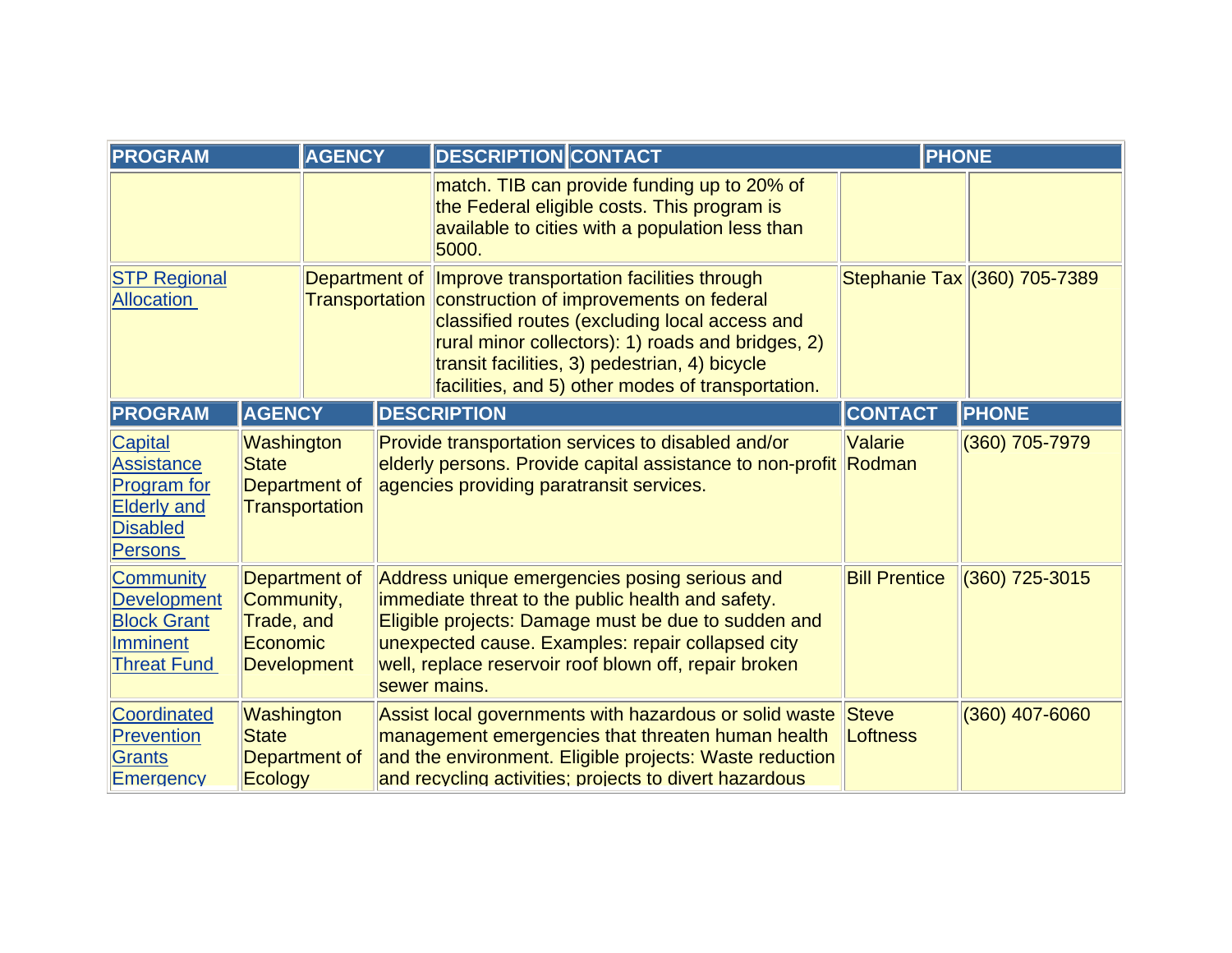| <b>PROGRAM</b>                                                                                                       |                                                                      | <b>AGENCY</b>                                                                                                                                          | <b>DESCRIPTION CONTACT</b>                                                                                                                                                                                                                                                                                                           | <b>PHONE</b>                    |                              |
|----------------------------------------------------------------------------------------------------------------------|----------------------------------------------------------------------|--------------------------------------------------------------------------------------------------------------------------------------------------------|--------------------------------------------------------------------------------------------------------------------------------------------------------------------------------------------------------------------------------------------------------------------------------------------------------------------------------------|---------------------------------|------------------------------|
|                                                                                                                      |                                                                      | match. TIB can provide funding up to 20% of<br>the Federal eligible costs. This program is<br>available to cities with a population less than<br>5000. |                                                                                                                                                                                                                                                                                                                                      |                                 |                              |
| <b>STP Regional</b><br><b>Allocation</b>                                                                             |                                                                      |                                                                                                                                                        | Department of <i>Improve</i> transportation facilities through<br>Transportation construction of improvements on federal<br>classified routes (excluding local access and<br>rural minor collectors): 1) roads and bridges, 2)<br>transit facilities, 3) pedestrian, 4) bicycle<br>facilities, and 5) other modes of transportation. |                                 | Stephanie Tax (360) 705-7389 |
| <b>PROGRAM</b>                                                                                                       | <b>AGENCY</b>                                                        |                                                                                                                                                        | <b>DESCRIPTION</b>                                                                                                                                                                                                                                                                                                                   | <b>CONTACT</b>                  | <b>PHONE</b>                 |
| <b>Capital</b><br><b>Assistance</b><br><b>Program</b> for<br><b>Elderly and</b><br><b>Disabled</b><br><b>Persons</b> | Washington<br><b>State</b><br>Department of<br>Transportation        |                                                                                                                                                        | Provide transportation services to disabled and/or<br>elderly persons. Provide capital assistance to non-profit Rodman<br>agencies providing paratransit services.                                                                                                                                                                   | Valarie                         | (360) 705-7979               |
| <b>Community</b><br><b>Development</b><br><b>Block Grant</b><br><b>Imminent</b><br><b>Threat Fund</b>                | Department of<br>Community,<br>Trade, and<br>Economic<br>Development |                                                                                                                                                        | Address unique emergencies posing serious and<br>immediate threat to the public health and safety.<br>Eligible projects: Damage must be due to sudden and<br>unexpected cause. Examples: repair collapsed city<br>well, replace reservoir roof blown off, repair broken<br>sewer mains.                                              | <b>Bill Prentice</b>            | $(360)$ 725-3015             |
| Coordinated<br>Prevention<br>Grants<br>Emergency                                                                     | Washington<br><b>State</b><br>Department of<br>Ecology               |                                                                                                                                                        | Assist local governments with hazardous or solid waste<br>management emergencies that threaten human health<br>and the environment. Eligible projects: Waste reduction<br>and recycling activities; projects to divert hazardous                                                                                                     | <b>Steve</b><br><b>Loftness</b> | $(360)$ 407-6060             |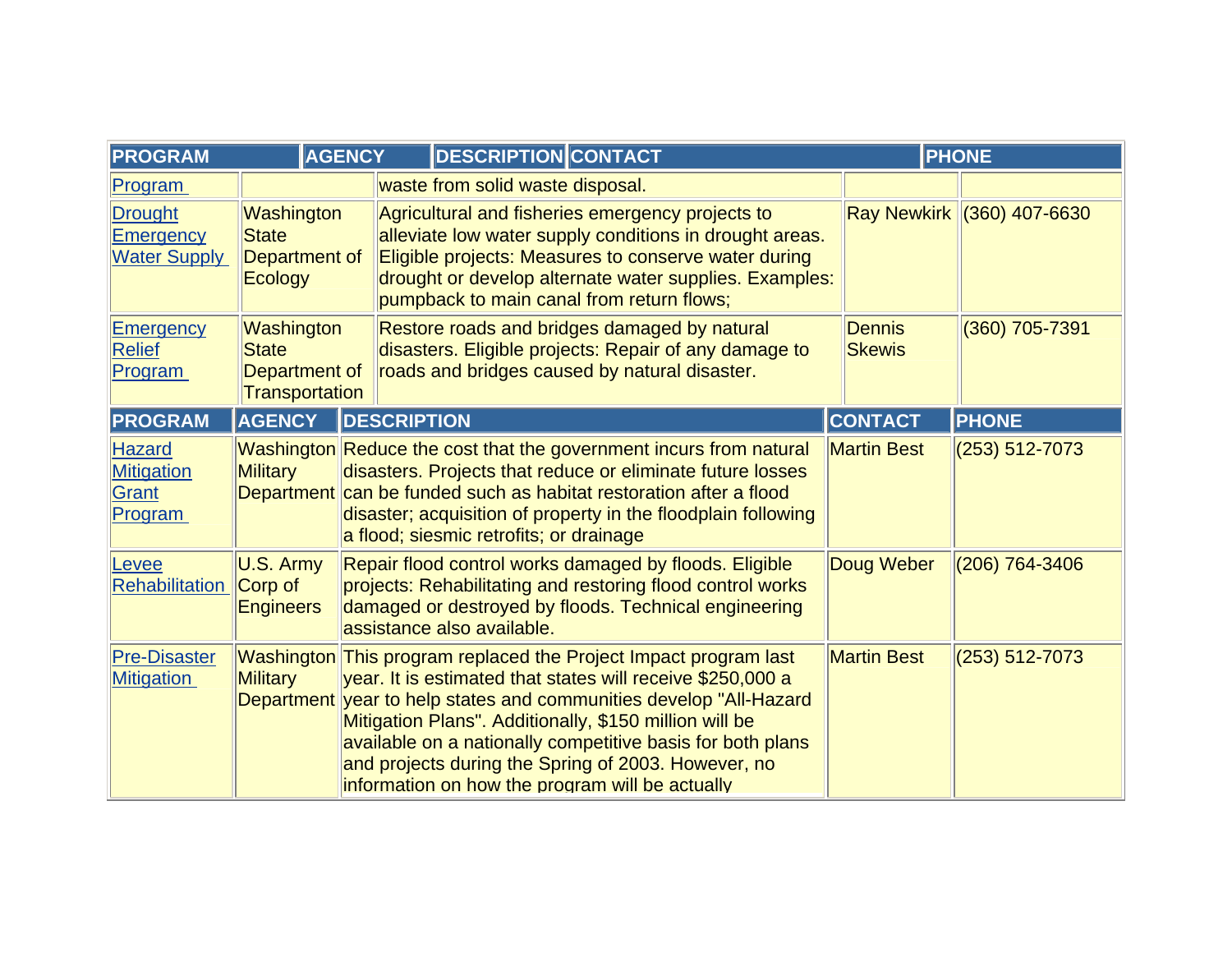| <b>PROGRAM</b>                                            | <b>AGENCY</b>                                                 |                    | <b>DESCRIPTION CONTACT</b>                                                                                                                                                                                                                                                                                                                                                                                                              |                                | <b>PHONE</b>               |
|-----------------------------------------------------------|---------------------------------------------------------------|--------------------|-----------------------------------------------------------------------------------------------------------------------------------------------------------------------------------------------------------------------------------------------------------------------------------------------------------------------------------------------------------------------------------------------------------------------------------------|--------------------------------|----------------------------|
| Program                                                   |                                                               |                    | waste from solid waste disposal.                                                                                                                                                                                                                                                                                                                                                                                                        |                                |                            |
| <b>Drought</b><br><b>Emergency</b><br><b>Water Supply</b> | Washington<br><b>State</b><br>Department of<br>Ecology        |                    | Agricultural and fisheries emergency projects to<br>alleviate low water supply conditions in drought areas.<br>Eligible projects: Measures to conserve water during<br>drought or develop alternate water supplies. Examples:<br>pumpback to main canal from return flows;                                                                                                                                                              |                                | Ray Newkirk (360) 407-6630 |
| <b>Emergency</b><br><b>Relief</b><br>Program              | Washington<br><b>State</b><br>Department of<br>Transportation |                    | Restore roads and bridges damaged by natural<br>disasters. Eligible projects: Repair of any damage to<br>roads and bridges caused by natural disaster.                                                                                                                                                                                                                                                                                  | <b>Dennis</b><br><b>Skewis</b> | (360) 705-7391             |
| <b>PROGRAM</b>                                            | <b>AGENCY</b>                                                 | <b>DESCRIPTION</b> |                                                                                                                                                                                                                                                                                                                                                                                                                                         | <b>CONTACT</b>                 | <b>PHONE</b>               |
| Hazard<br><b>Mitigation</b><br>Grant<br>Program           | <b>Military</b>                                               |                    | Washington Reduce the cost that the government incurs from natural<br>disasters. Projects that reduce or eliminate future losses<br>Department can be funded such as habitat restoration after a flood<br>disaster; acquisition of property in the floodplain following<br>a flood; siesmic retrofits; or drainage                                                                                                                      | <b>Martin Best</b>             | $(253) 512 - 7073$         |
| Levee<br><b>Rehabilitation</b>                            | U.S. Army<br>Corp of<br><b>Engineers</b>                      |                    | Repair flood control works damaged by floods. Eligible<br>projects: Rehabilitating and restoring flood control works<br>damaged or destroyed by floods. Technical engineering<br>assistance also available.                                                                                                                                                                                                                             | Doug Weber                     | $(206)$ 764-3406           |
| <b>Pre-Disaster</b><br><b>Mitigation</b>                  | <b>Military</b>                                               |                    | Washington This program replaced the Project Impact program last<br>year. It is estimated that states will receive \$250,000 a<br>Department year to help states and communities develop "All-Hazard"<br>Mitigation Plans". Additionally, \$150 million will be<br>available on a nationally competitive basis for both plans<br>and projects during the Spring of 2003. However, no<br>information on how the program will be actually | <b>Martin Best</b>             | $(253) 512 - 7073$         |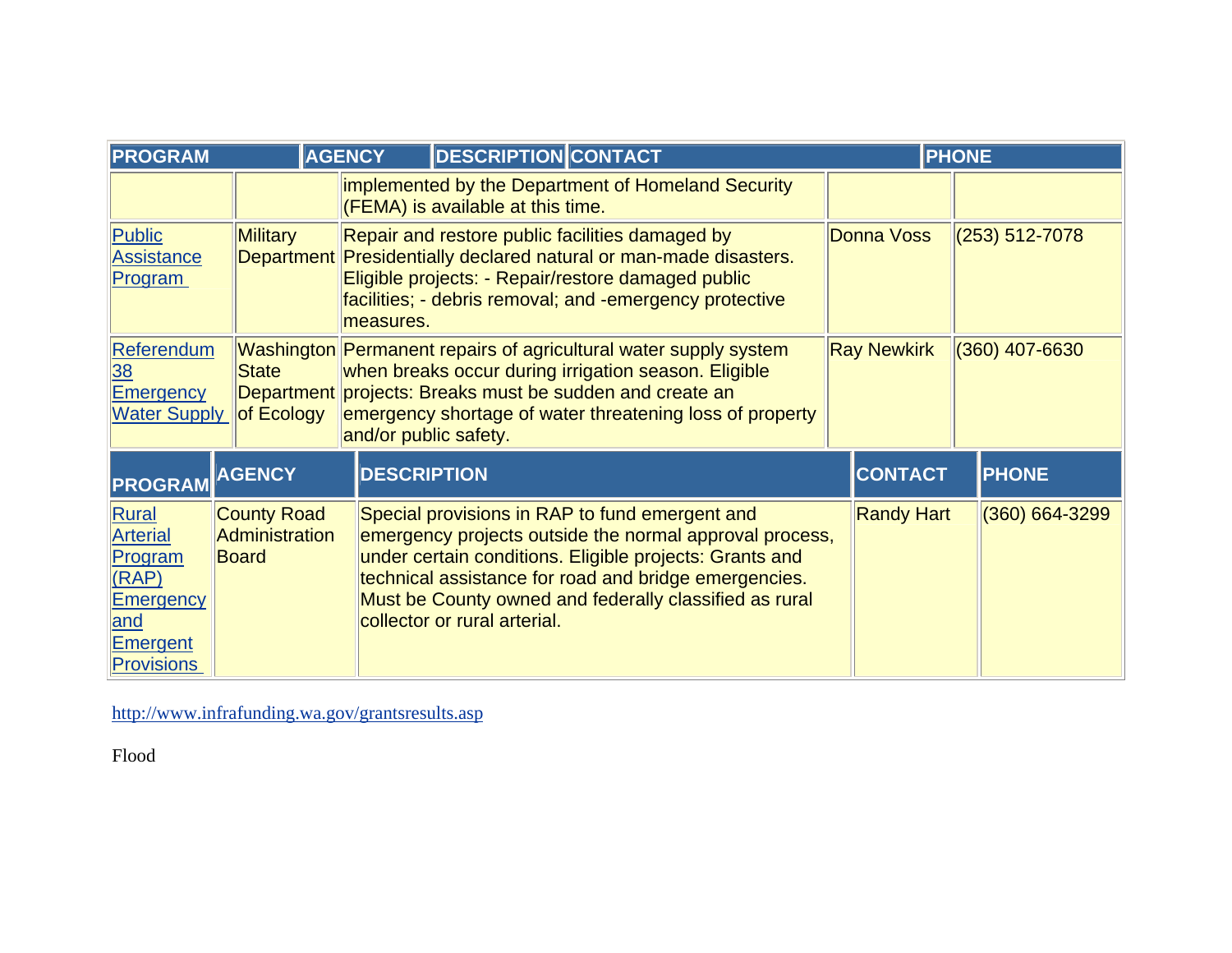| <b>PROGRAM</b>                                                                                           |                                               | <b>AGENCY</b>         | <b>DESCRIPTION CONTACT</b>                                                                                                                                                                                                                                                                                              |                    | <b>PHONE</b>     |
|----------------------------------------------------------------------------------------------------------|-----------------------------------------------|-----------------------|-------------------------------------------------------------------------------------------------------------------------------------------------------------------------------------------------------------------------------------------------------------------------------------------------------------------------|--------------------|------------------|
|                                                                                                          |                                               |                       | implemented by the Department of Homeland Security<br>$ $ (FEMA) is available at this time.                                                                                                                                                                                                                             |                    |                  |
| Public<br><b>Assistance</b><br>Program                                                                   | Military                                      | measures.             | Repair and restore public facilities damaged by<br><b>Donna Voss</b><br>$(253) 512 - 7078$<br>Department Presidentially declared natural or man-made disasters.<br>Eligible projects: - Repair/restore damaged public<br>facilities; - debris removal; and -emergency protective                                        |                    |                  |
| <b>Referendum</b><br>38<br>Emergency<br><b>Water Supply</b>                                              | <b>State</b><br>of Ecology                    | and/or public safety. | Washington Permanent repairs of agricultural water supply system<br>when breaks occur during irrigation season. Eligible<br>Department projects: Breaks must be sudden and create an<br>emergency shortage of water threatening loss of property                                                                        | <b>Ray Newkirk</b> | $(360)$ 407-6630 |
| PROGRAM                                                                                                  | <b>AGENCY</b>                                 | <b>DESCRIPTION</b>    |                                                                                                                                                                                                                                                                                                                         | <b>CONTACT</b>     | <b>PHONE</b>     |
| Rural<br><b>Arterial</b><br>Program<br>(RAP)<br><b>Emergency</b><br>and<br>Emergent<br><b>Provisions</b> | <b>County Road</b><br>Administration<br>Board |                       | Special provisions in RAP to fund emergent and<br>emergency projects outside the normal approval process,<br>under certain conditions. Eligible projects: Grants and<br>technical assistance for road and bridge emergencies.<br>Must be County owned and federally classified as rural<br>collector or rural arterial. | <b>Randy Hart</b>  | (360) 664-3299   |

<http://www.infrafunding.wa.gov/grantsresults.asp>

Flood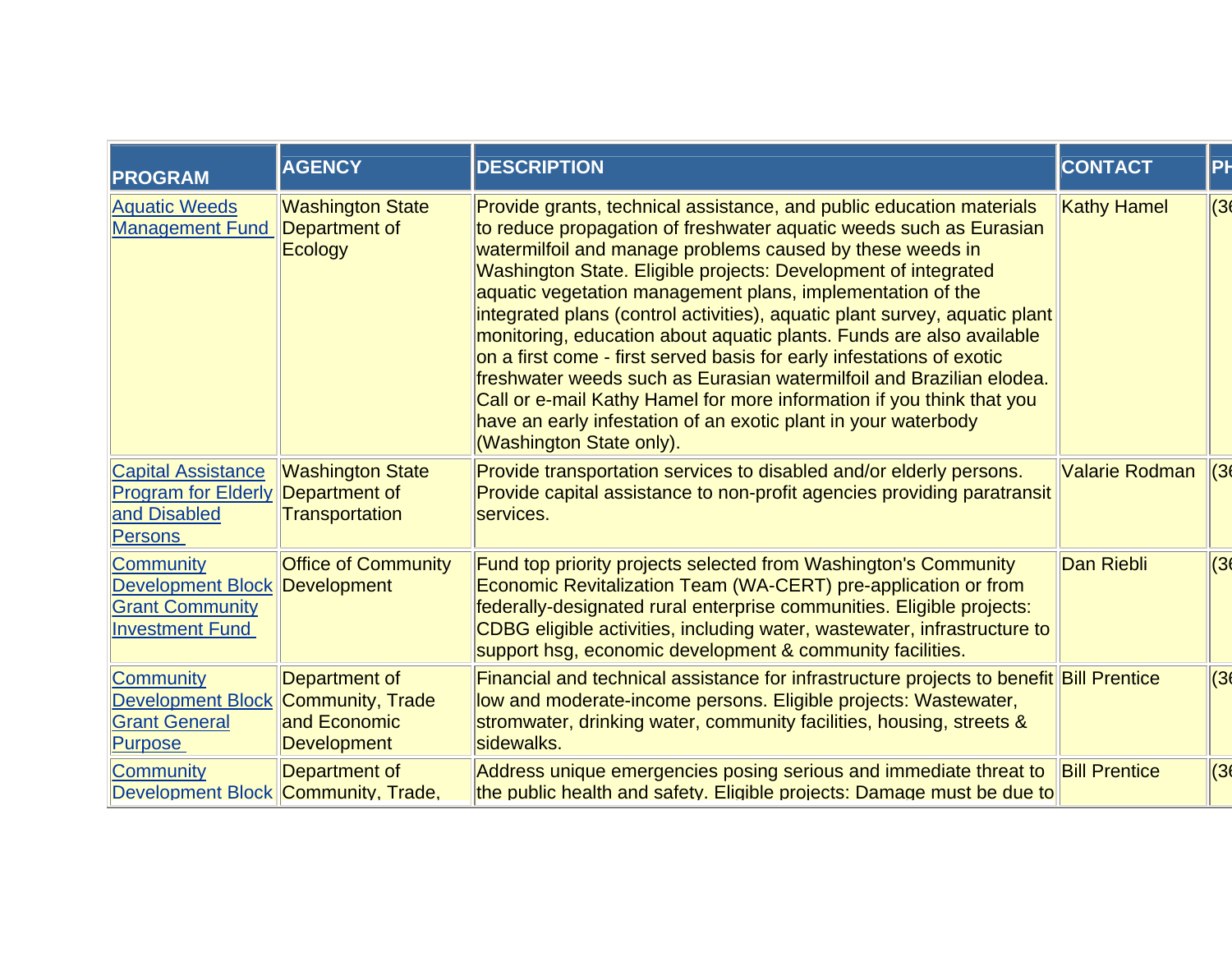| <b>PROGRAM</b>                                                                                   | <b>AGENCY</b>                                                           | <b>DESCRIPTION</b>                                                                                                                                                                                                                                                                                                                                                                                                                                                                                                                                                                                                                                                                                                                                                                                                    | <b>CONTACT</b>       | PH   |
|--------------------------------------------------------------------------------------------------|-------------------------------------------------------------------------|-----------------------------------------------------------------------------------------------------------------------------------------------------------------------------------------------------------------------------------------------------------------------------------------------------------------------------------------------------------------------------------------------------------------------------------------------------------------------------------------------------------------------------------------------------------------------------------------------------------------------------------------------------------------------------------------------------------------------------------------------------------------------------------------------------------------------|----------------------|------|
| <b>Aquatic Weeds</b><br><b>Management Fund</b>                                                   | <b>Washington State</b><br>Department of<br>Ecology                     | Provide grants, technical assistance, and public education materials<br>to reduce propagation of freshwater aquatic weeds such as Eurasian<br>watermilfoil and manage problems caused by these weeds in<br>Washington State. Eligible projects: Development of integrated<br>aquatic vegetation management plans, implementation of the<br>integrated plans (control activities), aquatic plant survey, aquatic plant<br>monitoring, education about aquatic plants. Funds are also available<br>on a first come - first served basis for early infestations of exotic<br>freshwater weeds such as Eurasian watermilfoil and Brazilian elodea.<br>Call or e-mail Kathy Hamel for more information if you think that you<br>have an early infestation of an exotic plant in your waterbody<br>(Washington State only). | <b>Kathy Hamel</b>   | (36) |
| <b>Capital Assistance</b><br><b>Program for Elderly</b><br>and Disabled<br><b>Persons</b>        | <b>Washington State</b><br>Department of<br><b>Transportation</b>       | Provide transportation services to disabled and/or elderly persons.<br>Provide capital assistance to non-profit agencies providing paratransit<br>services.                                                                                                                                                                                                                                                                                                                                                                                                                                                                                                                                                                                                                                                           | Valarie Rodman       | (36) |
| <b>Community</b><br><b>Development Block</b><br><b>Grant Community</b><br><b>Investment Fund</b> | <b>Office of Community</b><br><b>Development</b>                        | Fund top priority projects selected from Washington's Community<br>Economic Revitalization Team (WA-CERT) pre-application or from<br>federally-designated rural enterprise communities. Eligible projects:<br>CDBG eligible activities, including water, wastewater, infrastructure to<br>support hsq, economic development & community facilities.                                                                                                                                                                                                                                                                                                                                                                                                                                                                   | Dan Riebli           | (36) |
| <b>Community</b><br><b>Development Block</b><br><b>Grant General</b><br><b>Purpose</b>           | Department of<br>Community, Trade<br>and Economic<br><b>Development</b> | Financial and technical assistance for infrastructure projects to benefit Bill Prentice<br>low and moderate-income persons. Eligible projects: Wastewater,<br>stromwater, drinking water, community facilities, housing, streets &<br>sidewalks.                                                                                                                                                                                                                                                                                                                                                                                                                                                                                                                                                                      |                      | (36) |
| <b>Community</b><br>Development Block Community, Trade,                                          | Department of                                                           | Address unique emergencies posing serious and immediate threat to<br>the public health and safety. Eligible projects: Damage must be due to                                                                                                                                                                                                                                                                                                                                                                                                                                                                                                                                                                                                                                                                           | <b>Bill Prentice</b> | (36) |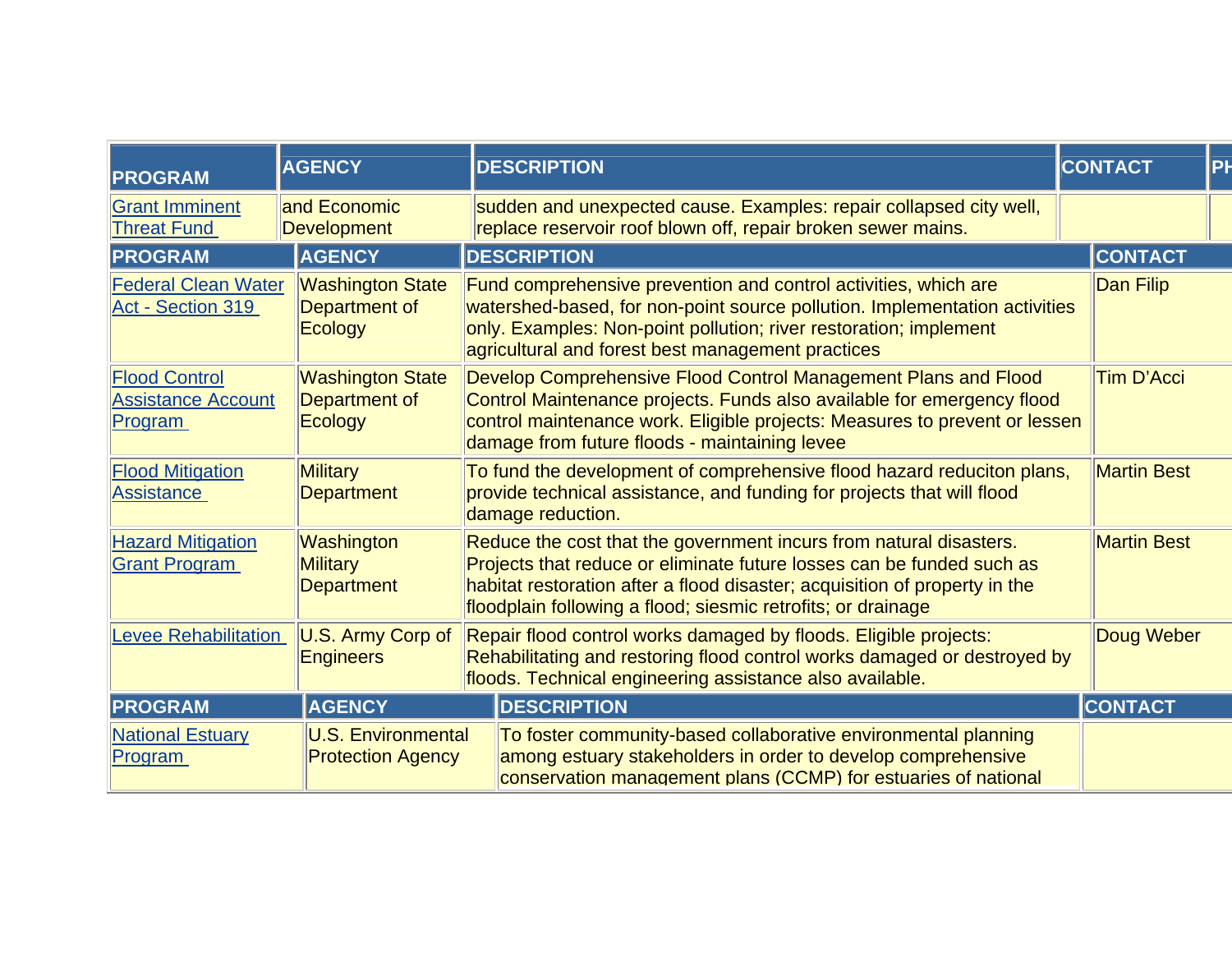| <b>PROGRAM</b>                                                                       | <b>AGENCY</b>                                              | <b>DESCRIPTION</b>                                                                                                                                                                                                                                                                        | PH<br><b>CONTACT</b> |
|--------------------------------------------------------------------------------------|------------------------------------------------------------|-------------------------------------------------------------------------------------------------------------------------------------------------------------------------------------------------------------------------------------------------------------------------------------------|----------------------|
| <b>Grant Imminent</b><br><b>Threat Fund</b>                                          | and Economic<br>Development                                | sudden and unexpected cause. Examples: repair collapsed city well,<br>replace reservoir roof blown off, repair broken sewer mains.                                                                                                                                                        |                      |
| <b>PROGRAM</b>                                                                       | <b>AGENCY</b>                                              | <b>DESCRIPTION</b>                                                                                                                                                                                                                                                                        | <b>CONTACT</b>       |
| <b>Federal Clean Water</b><br>Act - Section 319                                      | <b>Washington State</b><br>Department of<br><b>Ecology</b> | Fund comprehensive prevention and control activities, which are<br>watershed-based, for non-point source pollution. Implementation activities<br>only. Examples: Non-point pollution; river restoration; implement<br>agricultural and forest best management practices                   | Dan Filip            |
| <b>Flood Control</b><br><b>Assistance Account</b><br>Program                         | <b>Washington State</b><br>Department of<br><b>Ecology</b> | Develop Comprehensive Flood Control Management Plans and Flood<br>Control Maintenance projects. Funds also available for emergency flood<br>control maintenance work. Eligible projects: Measures to prevent or lessen<br>damage from future floods - maintaining levee                   | <b>Tim D'Acci</b>    |
| <b>Military</b><br><b>Flood Mitigation</b><br><b>Assistance</b><br><b>Department</b> |                                                            | To fund the development of comprehensive flood hazard reduciton plans,<br>provide technical assistance, and funding for projects that will flood<br>damage reduction.                                                                                                                     | <b>Martin Best</b>   |
| <b>Hazard Mitigation</b><br><b>Grant Program</b>                                     | Washington<br><b>Military</b><br><b>Department</b>         | Reduce the cost that the government incurs from natural disasters.<br>Projects that reduce or eliminate future losses can be funded such as<br>habitat restoration after a flood disaster; acquisition of property in the<br>floodplain following a flood; siesmic retrofits; or drainage | <b>Martin Best</b>   |
| <b>Levee Rehabilitation</b><br>U.S. Army Corp of<br><b>Engineers</b>                 |                                                            | Repair flood control works damaged by floods. Eligible projects:<br>Rehabilitating and restoring flood control works damaged or destroyed by<br>floods. Technical engineering assistance also available.                                                                                  | Doug Weber           |
| <b>PROGRAM</b>                                                                       | <b>AGENCY</b>                                              | <b>DESCRIPTION</b>                                                                                                                                                                                                                                                                        | <b>CONTACT</b>       |
| <b>National Estuary</b><br>Program                                                   | <b>U.S. Environmental</b><br><b>Protection Agency</b>      | To foster community-based collaborative environmental planning<br>among estuary stakeholders in order to develop comprehensive<br>conservation management plans (CCMP) for estuaries of national                                                                                          |                      |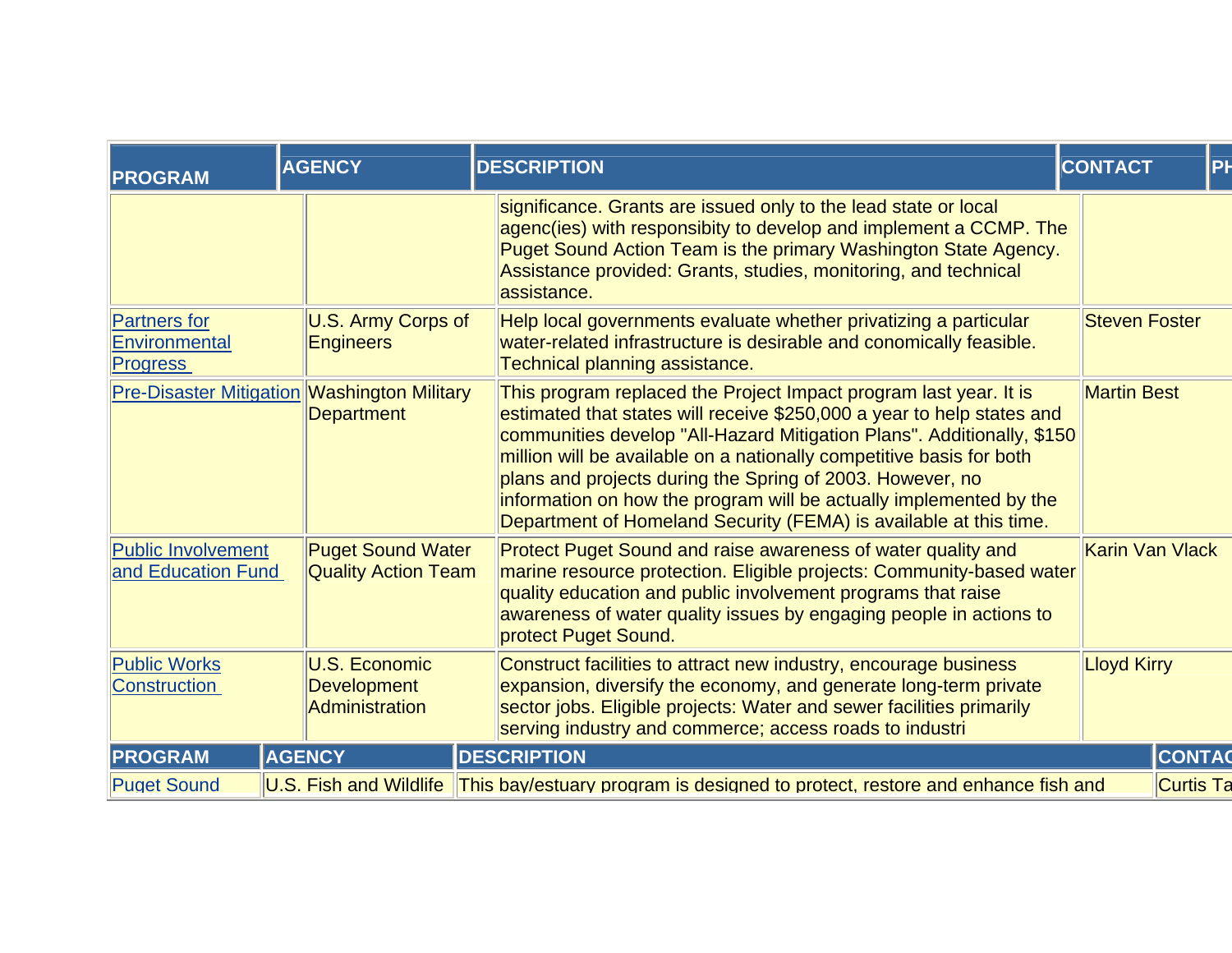| <b>PROGRAM</b>                                          | <b>AGENCY</b>                                                    | <b>DESCRIPTION</b>                                                                                                                                                                                                                                                                                                                                                                                                                                                                                    | PH<br><b>CONTACT</b>   |
|---------------------------------------------------------|------------------------------------------------------------------|-------------------------------------------------------------------------------------------------------------------------------------------------------------------------------------------------------------------------------------------------------------------------------------------------------------------------------------------------------------------------------------------------------------------------------------------------------------------------------------------------------|------------------------|
|                                                         |                                                                  | significance. Grants are issued only to the lead state or local<br>agenc(ies) with responsibity to develop and implement a CCMP. The<br>Puget Sound Action Team is the primary Washington State Agency.<br>Assistance provided: Grants, studies, monitoring, and technical<br>assistance.                                                                                                                                                                                                             |                        |
| <b>Partners</b> for<br>Environmental<br><b>Progress</b> | U.S. Army Corps of<br><b>Engineers</b>                           | Help local governments evaluate whether privatizing a particular<br>water-related infrastructure is desirable and conomically feasible.<br>Technical planning assistance.                                                                                                                                                                                                                                                                                                                             | <b>Steven Foster</b>   |
|                                                         | <b>Pre-Disaster Mitigation Washington Military</b><br>Department | This program replaced the Project Impact program last year. It is<br>estimated that states will receive \$250,000 a year to help states and<br>communities develop "All-Hazard Mitigation Plans". Additionally, \$150<br>million will be available on a nationally competitive basis for both<br>plans and projects during the Spring of 2003. However, no<br>information on how the program will be actually implemented by the<br>Department of Homeland Security (FEMA) is available at this time. | <b>Martin Best</b>     |
| Public Involvement<br>and Education Fund                | <b>Puget Sound Water</b><br><b>Quality Action Team</b>           | Protect Puget Sound and raise awareness of water quality and<br>marine resource protection. Eligible projects: Community-based water<br>quality education and public involvement programs that raise<br>awareness of water quality issues by engaging people in actions to<br>protect Puget Sound.                                                                                                                                                                                                    | <b>Karin Van Vlack</b> |
| <b>Public Works</b><br><b>Construction</b>              | U.S. Economic<br>Development<br>Administration                   | Construct facilities to attract new industry, encourage business<br>expansion, diversify the economy, and generate long-term private<br>sector jobs. Eligible projects: Water and sewer facilities primarily<br>serving industry and commerce; access roads to industri                                                                                                                                                                                                                               | <b>Lloyd Kirry</b>     |
| <b>PROGRAM</b>                                          | <b>AGENCY</b>                                                    | <b>DESCRIPTION</b>                                                                                                                                                                                                                                                                                                                                                                                                                                                                                    | <b>CONTAC</b>          |
| <b>Puget Sound</b>                                      | U.S. Fish and Wildlife                                           | This bay/estuary program is designed to protect, restore and enhance fish and                                                                                                                                                                                                                                                                                                                                                                                                                         | <b>Curtis Ta</b>       |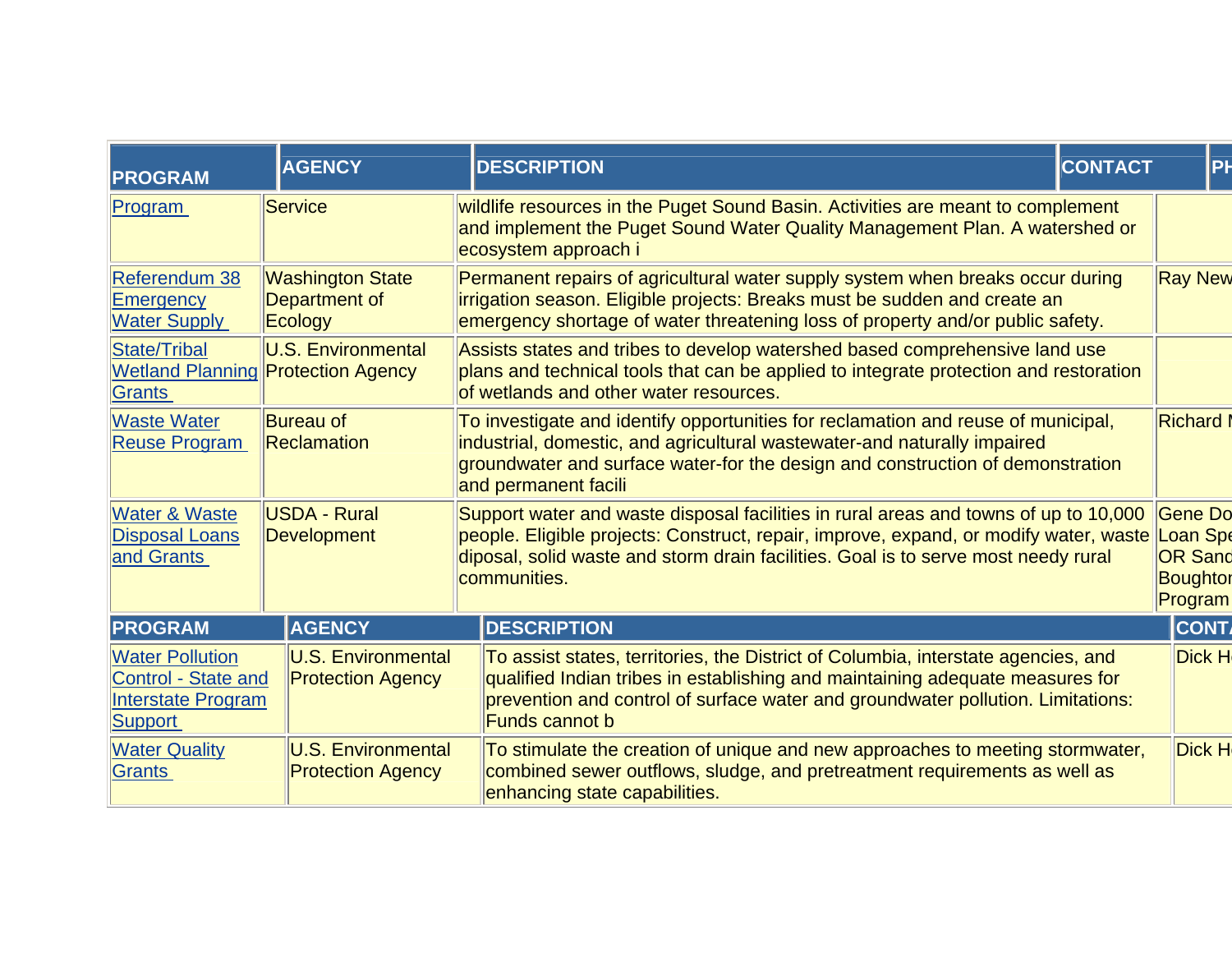| <b>PROGRAM</b>                                                                               | <b>AGENCY</b>                                         | <b>CONTACT</b><br><b>DESCRIPTION</b>                                                                                                                                                                                                                                                | PF                                                           |
|----------------------------------------------------------------------------------------------|-------------------------------------------------------|-------------------------------------------------------------------------------------------------------------------------------------------------------------------------------------------------------------------------------------------------------------------------------------|--------------------------------------------------------------|
| Program                                                                                      | Service                                               | wildlife resources in the Puget Sound Basin. Activities are meant to complement<br>and implement the Puget Sound Water Quality Management Plan. A watershed or<br>ecosystem approach i                                                                                              |                                                              |
| Referendum 38<br>Emergency<br><b>Water Supply</b>                                            | <b>Washington State</b><br>Department of<br>Ecology   | Permanent repairs of agricultural water supply system when breaks occur during<br>irrigation season. Eligible projects: Breaks must be sudden and create an<br>emergency shortage of water threatening loss of property and/or public safety.                                       | <b>Ray New</b>                                               |
| State/Tribal<br><b>Wetland Planning Protection Agency</b><br>Grants                          | <b>U.S. Environmental</b>                             | Assists states and tribes to develop watershed based comprehensive land use<br>plans and technical tools that can be applied to integrate protection and restoration<br>of wetlands and other water resources.                                                                      |                                                              |
| <b>Waste Water</b><br><b>Reuse Program</b>                                                   | <b>Bureau of</b><br>Reclamation                       | To investigate and identify opportunities for reclamation and reuse of municipal,<br>industrial, domestic, and agricultural wastewater-and naturally impaired<br>groundwater and surface water-for the design and construction of demonstration<br>and permanent facili             | <b>Richard</b>                                               |
| <b>Water &amp; Waste</b><br><b>Disposal Loans</b><br>and Grants                              | USDA - Rural<br><b>Development</b>                    | Support water and waste disposal facilities in rural areas and towns of up to 10,000<br>people. Eligible projects: Construct, repair, improve, expand, or modify water, waste<br>diposal, solid waste and storm drain facilities. Goal is to serve most needy rural<br>communities. | Gene Do<br>Loan Spe<br><b>OR Sand</b><br>Boughtor<br>Program |
| <b>PROGRAM</b>                                                                               | <b>AGENCY</b>                                         | <b>DESCRIPTION</b>                                                                                                                                                                                                                                                                  | <b>CONT</b>                                                  |
| <b>Water Pollution</b><br><b>Control - State and</b><br><b>Interstate Program</b><br>Support | <b>U.S. Environmental</b><br><b>Protection Agency</b> | To assist states, territories, the District of Columbia, interstate agencies, and<br>qualified Indian tribes in establishing and maintaining adequate measures for<br>prevention and control of surface water and groundwater pollution. Limitations:<br><b>Funds cannot b</b>      | Dick H                                                       |
| <b>Water Quality</b><br>Grants                                                               | <b>U.S. Environmental</b><br><b>Protection Agency</b> | To stimulate the creation of unique and new approaches to meeting stormwater,<br>combined sewer outflows, sludge, and pretreatment requirements as well as<br>enhancing state capabilities.                                                                                         | <b>Dick H</b>                                                |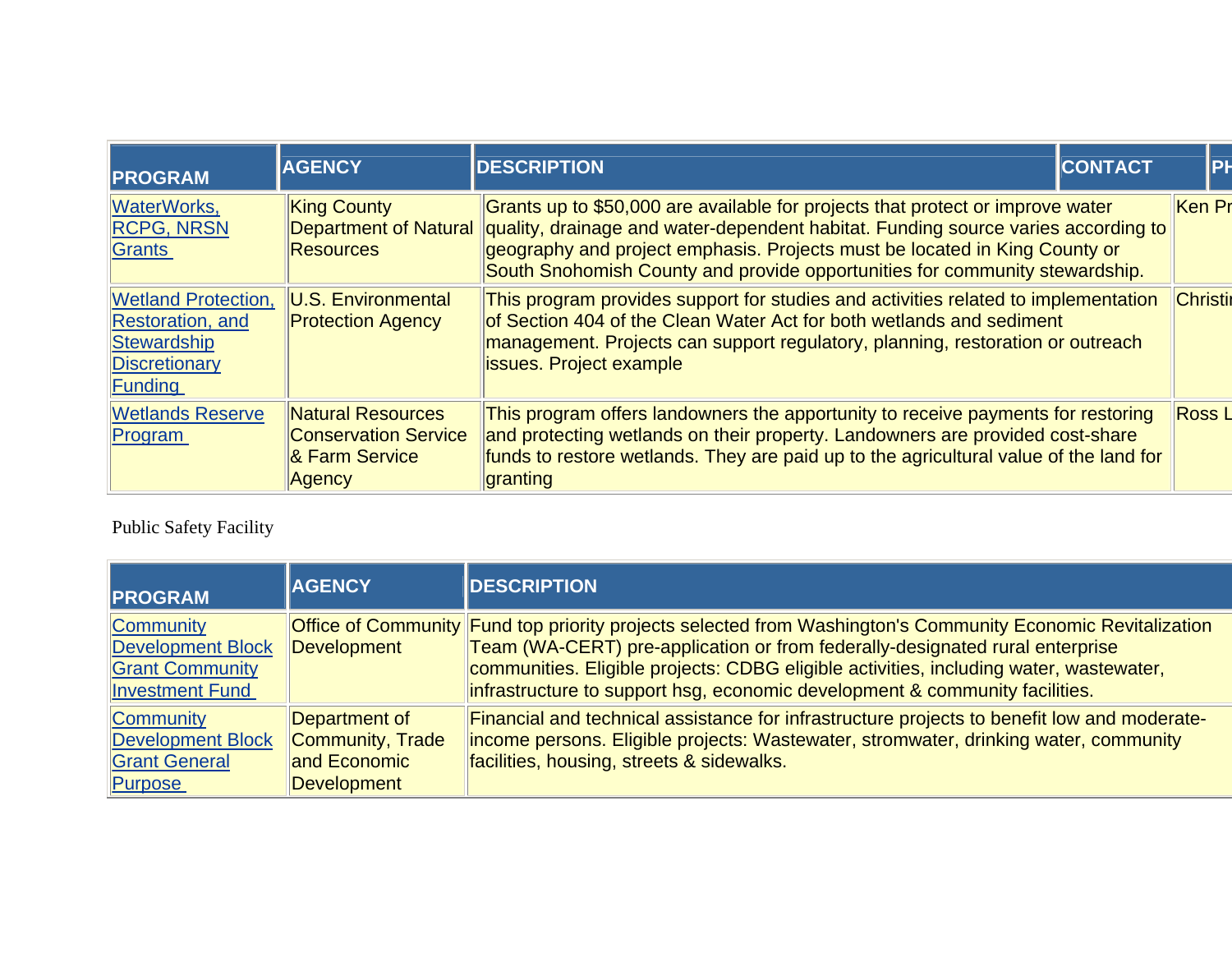| <b>PROGRAM</b>                                                                                    | <b>AGENCY</b>                                                                       | <b>CONTACT</b><br><b>DESCRIPTION</b>                                                                                                                                                                                                                                                                                             | PF              |
|---------------------------------------------------------------------------------------------------|-------------------------------------------------------------------------------------|----------------------------------------------------------------------------------------------------------------------------------------------------------------------------------------------------------------------------------------------------------------------------------------------------------------------------------|-----------------|
| <b>WaterWorks,</b><br><b>RCPG, NRSN</b><br>Grants                                                 | <b>King County</b><br><b>Department of Natural</b><br><b>Resources</b>              | Grants up to \$50,000 are available for projects that protect or improve water<br>quality, drainage and water-dependent habitat. Funding source varies according to<br>geography and project emphasis. Projects must be located in King County or<br>South Snohomish County and provide opportunities for community stewardship. | Ken Pr          |
| <b>Wetland Protection,</b><br><b>Restoration</b> , and<br>Stewardship<br>Discretionary<br>Funding | U.S. Environmental<br><b>Protection Agency</b>                                      | This program provides support for studies and activities related to implementation<br>of Section 404 of the Clean Water Act for both wetlands and sediment<br>management. Projects can support regulatory, planning, restoration or outreach<br><b>issues. Project example</b>                                                   | <b>Christir</b> |
| <b>Wetlands Reserve</b><br>Program                                                                | <b>Natural Resources</b><br><b>Conservation Service</b><br>& Farm Service<br>Agency | This program offers landowners the apportunity to receive payments for restoring<br>and protecting wetlands on their property. Landowners are provided cost-share<br>funds to restore wetlands. They are paid up to the agricultural value of the land for<br>granting                                                           | <b>Ross L</b>   |

Public Safety Facility

| <b>PROGRAM</b>                                                                            | <b>AGENCY</b>                                                           | <b>DESCRIPTION</b>                                                                                                                                                                                                                                                                                                                                                   |
|-------------------------------------------------------------------------------------------|-------------------------------------------------------------------------|----------------------------------------------------------------------------------------------------------------------------------------------------------------------------------------------------------------------------------------------------------------------------------------------------------------------------------------------------------------------|
| <b>Community</b><br>Development Block<br><b>Grant Community</b><br><b>Investment Fund</b> | Development                                                             | Office of Community Fund top priority projects selected from Washington's Community Economic Revitalization<br>Team (WA-CERT) pre-application or from federally-designated rural enterprise<br>communities. Eligible projects: CDBG eligible activities, including water, wastewater,<br>infrastructure to support hsg, economic development & community facilities. |
| <b>Community</b><br>Development Block<br><b>Grant General</b><br>Purpose                  | Department of<br>Community, Trade<br>and Economic<br><b>Development</b> | Financial and technical assistance for infrastructure projects to benefit low and moderate-<br>income persons. Eligible projects: Wastewater, stromwater, drinking water, community<br>facilities, housing, streets & sidewalks.                                                                                                                                     |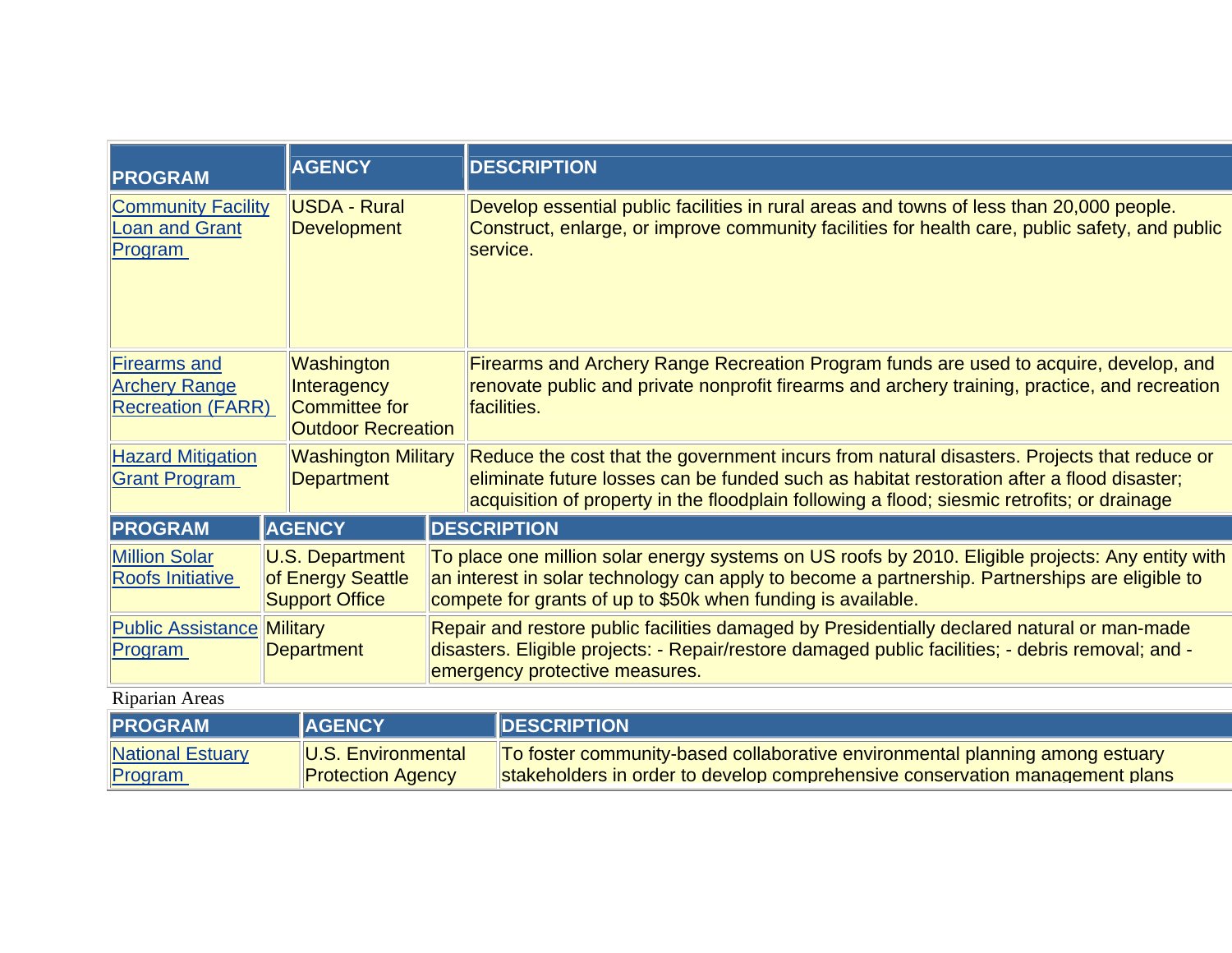| <b>PROGRAM</b>                                                       |  | <b>AGENCY</b>                                                           |                                                                                                                                                                                                                                    | <b>DESCRIPTION</b>                                                                                                                                                                                                                                                                     |  |  |  |
|----------------------------------------------------------------------|--|-------------------------------------------------------------------------|------------------------------------------------------------------------------------------------------------------------------------------------------------------------------------------------------------------------------------|----------------------------------------------------------------------------------------------------------------------------------------------------------------------------------------------------------------------------------------------------------------------------------------|--|--|--|
| <b>Community Facility</b><br><b>Loan and Grant</b><br>Program        |  | USDA - Rural<br><b>Development</b>                                      |                                                                                                                                                                                                                                    | Develop essential public facilities in rural areas and towns of less than 20,000 people.<br>Construct, enlarge, or improve community facilities for health care, public safety, and public<br>service.                                                                                 |  |  |  |
| Firearms and<br><b>Archery Range</b><br><b>Recreation (FARR)</b>     |  | Washington<br>Interagency<br>Committee for<br><b>Outdoor Recreation</b> |                                                                                                                                                                                                                                    | Firearms and Archery Range Recreation Program funds are used to acquire, develop, and<br>renovate public and private nonprofit firearms and archery training, practice, and recreation<br>facilities.                                                                                  |  |  |  |
| <b>Hazard Mitigation</b><br><b>Grant Program</b>                     |  | <b>Washington Military</b><br><b>Department</b>                         |                                                                                                                                                                                                                                    | Reduce the cost that the government incurs from natural disasters. Projects that reduce or<br>eliminate future losses can be funded such as habitat restoration after a flood disaster;<br>acquisition of property in the floodplain following a flood; siesmic retrofits; or drainage |  |  |  |
| <b>PROGRAM</b>                                                       |  | <b>AGENCY</b>                                                           |                                                                                                                                                                                                                                    | <b>DESCRIPTION</b>                                                                                                                                                                                                                                                                     |  |  |  |
| <b>Million Solar</b><br><b>Roofs Initiative</b>                      |  | <b>U.S. Department</b><br>of Energy Seattle<br><b>Support Office</b>    |                                                                                                                                                                                                                                    | To place one million solar energy systems on US roofs by 2010. Eligible projects: Any entity with<br>an interest in solar technology can apply to become a partnership. Partnerships are eligible to<br>compete for grants of up to \$50k when funding is available.                   |  |  |  |
| <b>Public Assistance</b><br><b>Military</b><br>Department<br>Program |  |                                                                         | Repair and restore public facilities damaged by Presidentially declared natural or man-made<br>disasters. Eligible projects: - Repair/restore damaged public facilities; - debris removal; and -<br>emergency protective measures. |                                                                                                                                                                                                                                                                                        |  |  |  |
| <b>Riparian Areas</b>                                                |  |                                                                         |                                                                                                                                                                                                                                    |                                                                                                                                                                                                                                                                                        |  |  |  |
| <b>AGENCY</b><br><b>PROGRAM</b><br><b>DESCRIPTION</b>                |  |                                                                         |                                                                                                                                                                                                                                    |                                                                                                                                                                                                                                                                                        |  |  |  |

To foster community-based collaborative environmental planning among estuary stakeholders in order to develop comprehensive conservation management plans

[National Estuary](http://www.infrafunding.wa.gov/details.asp?GRANTINDEX=103) 

U.S. Environmental **Protection Agency** 

[Program](http://www.infrafunding.wa.gov/details.asp?GRANTINDEX=103)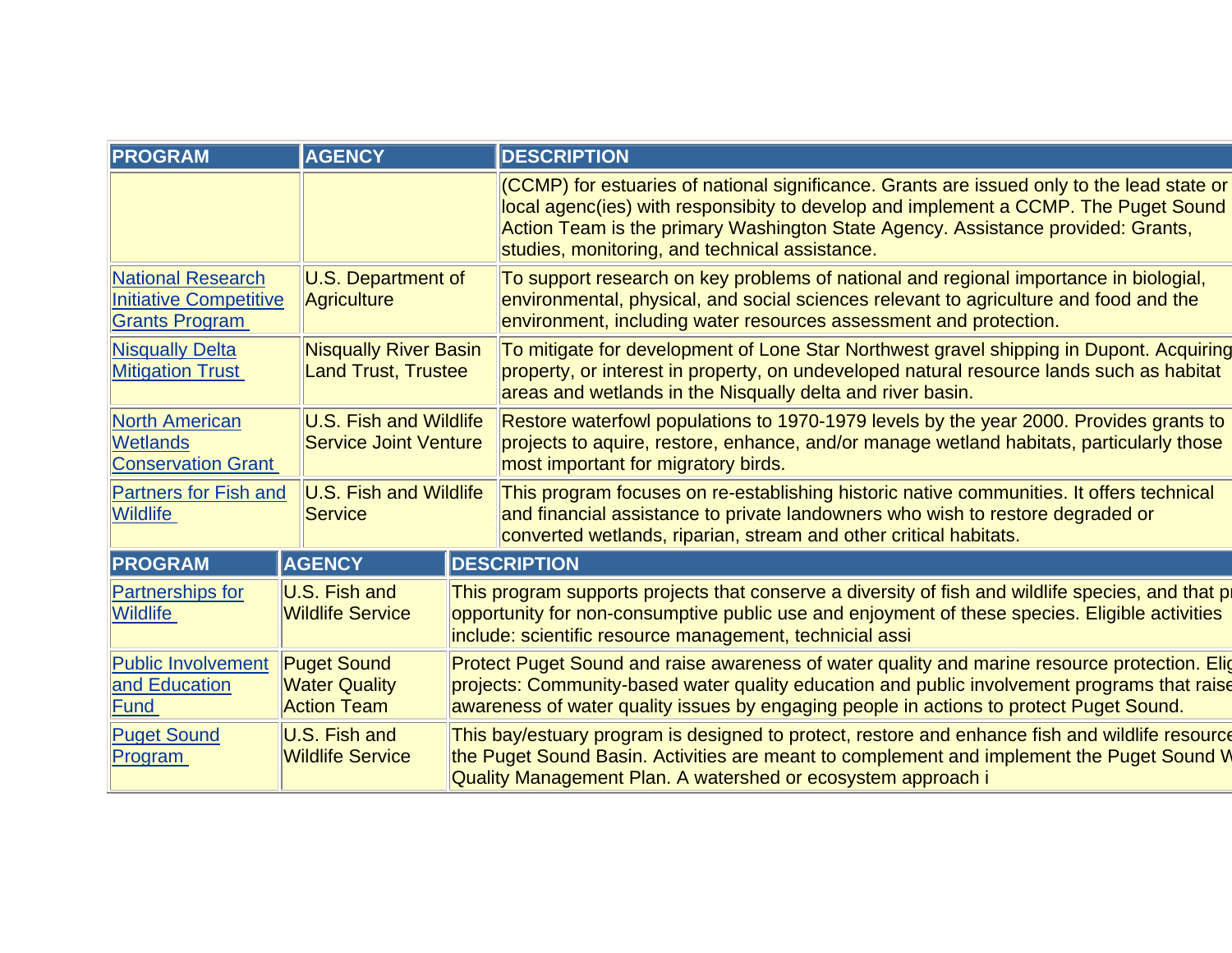| <b>PROGRAM</b>                                                              | <b>AGENCY</b>                                                    |  | <b>DESCRIPTION</b>                                                                                                                                                                                                                                                                                                      |  |  |  |
|-----------------------------------------------------------------------------|------------------------------------------------------------------|--|-------------------------------------------------------------------------------------------------------------------------------------------------------------------------------------------------------------------------------------------------------------------------------------------------------------------------|--|--|--|
|                                                                             |                                                                  |  | (CCMP) for estuaries of national significance. Grants are issued only to the lead state or<br>local agenc(ies) with responsibity to develop and implement a CCMP. The Puget Sound<br>Action Team is the primary Washington State Agency. Assistance provided: Grants,<br>studies, monitoring, and technical assistance. |  |  |  |
| <b>National Research</b><br>Initiative Competitive<br><b>Grants Program</b> | <b>U.S. Department of</b><br><b>Agriculture</b>                  |  | To support research on key problems of national and regional importance in biologial,<br>environmental, physical, and social sciences relevant to agriculture and food and the<br>environment, including water resources assessment and protection.                                                                     |  |  |  |
| <b>Nisqually Delta</b><br><b>Mitigation Trust</b>                           | <b>Nisqually River Basin</b><br><b>Land Trust, Trustee</b>       |  | To mitigate for development of Lone Star Northwest gravel shipping in Dupont. Acquiring<br>property, or interest in property, on undeveloped natural resource lands such as habitat<br>areas and wetlands in the Nisqually delta and river basin.                                                                       |  |  |  |
| <b>North American</b><br><b>Wetlands</b><br><b>Conservation Grant</b>       | <b>U.S. Fish and Wildlife</b><br><b>Service Joint Venture</b>    |  | Restore waterfowl populations to 1970-1979 levels by the year 2000. Provides grants to<br>projects to aquire, restore, enhance, and/or manage wetland habitats, particularly those<br>most important for migratory birds.                                                                                               |  |  |  |
| <b>Partners for Fish and</b><br><b>Wildlife</b>                             | <b>U.S. Fish and Wildlife</b><br>Service                         |  | This program focuses on re-establishing historic native communities. It offers technical<br>and financial assistance to private landowners who wish to restore degraded or<br>converted wetlands, riparian, stream and other critical habitats.                                                                         |  |  |  |
| <b>PROGRAM</b>                                                              | <b>AGENCY</b>                                                    |  | <b>DESCRIPTION</b>                                                                                                                                                                                                                                                                                                      |  |  |  |
| <b>Partnerships for</b><br><b>Wildlife</b>                                  | U.S. Fish and<br><b>Wildlife Service</b>                         |  | This program supports projects that conserve a diversity of fish and wildlife species, and that pr<br>opportunity for non-consumptive public use and enjoyment of these species. Eligible activities<br>include: scientific resource management, technicial assi                                                        |  |  |  |
| <b>Public Involvement</b><br>and Education<br>Fund                          | <b>Puget Sound</b><br><b>Water Quality</b><br><b>Action Team</b> |  | Protect Puget Sound and raise awareness of water quality and marine resource protection. Elig<br>projects: Community-based water quality education and public involvement programs that raise<br>awareness of water quality issues by engaging people in actions to protect Puget Sound.                                |  |  |  |
| <b>Puget Sound</b><br>Program                                               | U.S. Fish and<br><b>Wildlife Service</b>                         |  | This bay/estuary program is designed to protect, restore and enhance fish and wildlife resource<br>the Puget Sound Basin. Activities are meant to complement and implement the Puget Sound W<br>Quality Management Plan. A watershed or ecosystem approach i                                                            |  |  |  |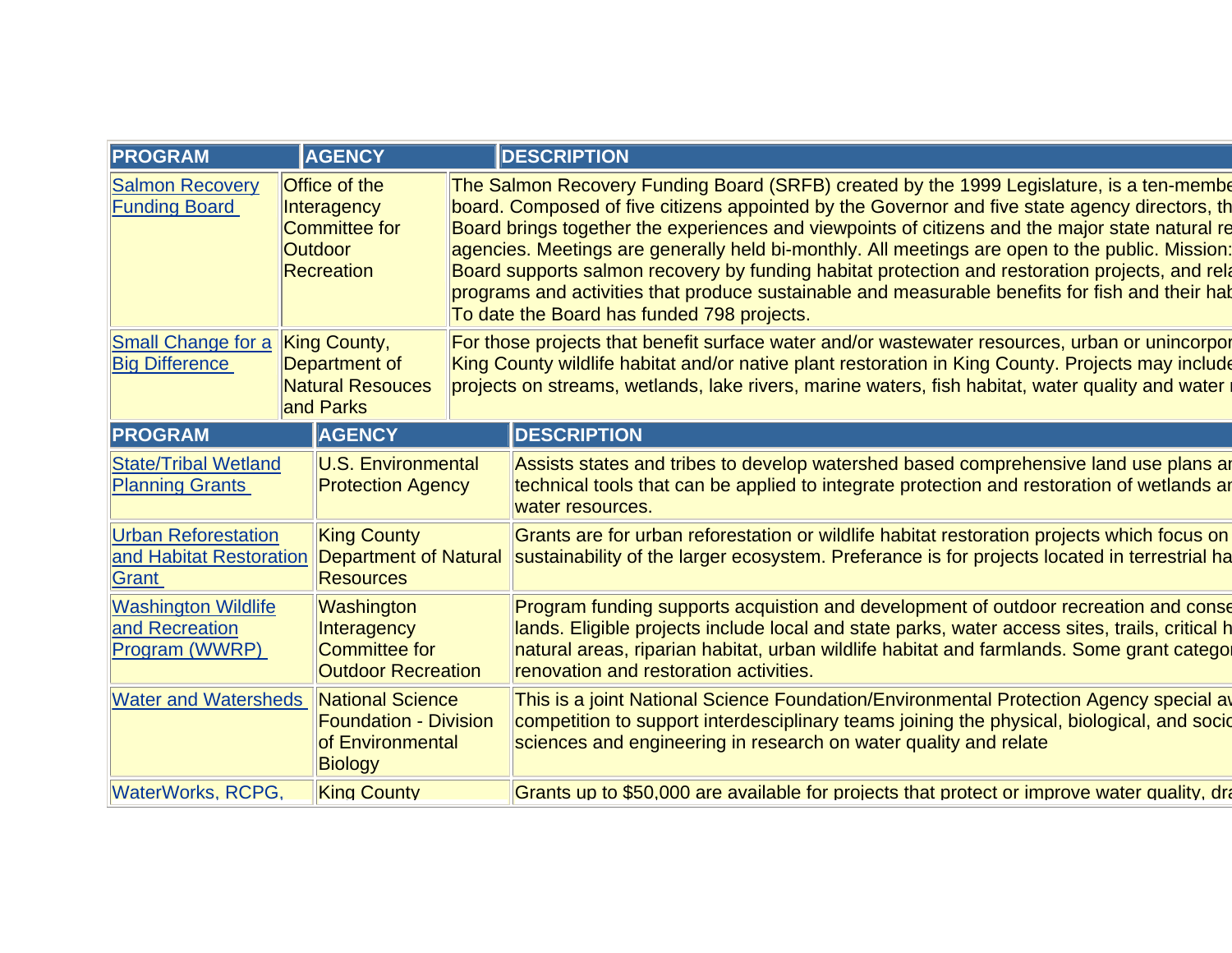| <b>PROGRAM</b>                                                 |                                                                                      | <b>AGENCY</b>                                                                          |                                                                                                                                                                                                                                                                                                         | <b>DESCRIPTION</b>                                                                                                                                                                                                                                                                                                                                                                                                                                                                                                                                                                                                                                    |  |  |  |
|----------------------------------------------------------------|--------------------------------------------------------------------------------------|----------------------------------------------------------------------------------------|---------------------------------------------------------------------------------------------------------------------------------------------------------------------------------------------------------------------------------------------------------------------------------------------------------|-------------------------------------------------------------------------------------------------------------------------------------------------------------------------------------------------------------------------------------------------------------------------------------------------------------------------------------------------------------------------------------------------------------------------------------------------------------------------------------------------------------------------------------------------------------------------------------------------------------------------------------------------------|--|--|--|
| <b>Salmon Recovery</b><br><b>Funding Board</b>                 | Office of the<br>Interagency<br>Committee for<br><b>Outdoor</b><br><b>Recreation</b> |                                                                                        |                                                                                                                                                                                                                                                                                                         | The Salmon Recovery Funding Board (SRFB) created by the 1999 Legislature, is a ten-membe<br>board. Composed of five citizens appointed by the Governor and five state agency directors, the<br>Board brings together the experiences and viewpoints of citizens and the major state natural re<br>agencies. Meetings are generally held bi-monthly. All meetings are open to the public. Mission:<br>Board supports salmon recovery by funding habitat protection and restoration projects, and rela<br>programs and activities that produce sustainable and measurable benefits for fish and their hat<br>To date the Board has funded 798 projects. |  |  |  |
| <b>Small Change for a</b><br><b>Big Difference</b>             | King County,<br>Department of<br><b>Natural Resouces</b><br>and Parks                |                                                                                        | For those projects that benefit surface water and/or wastewater resources, urban or unincorpor<br>King County wildlife habitat and/or native plant restoration in King County. Projects may include<br>projects on streams, wetlands, lake rivers, marine waters, fish habitat, water quality and water |                                                                                                                                                                                                                                                                                                                                                                                                                                                                                                                                                                                                                                                       |  |  |  |
| <b>PROGRAM</b>                                                 | <b>AGENCY</b>                                                                        |                                                                                        | <b>DESCRIPTION</b>                                                                                                                                                                                                                                                                                      |                                                                                                                                                                                                                                                                                                                                                                                                                                                                                                                                                                                                                                                       |  |  |  |
| <b>State/Tribal Wetland</b><br><b>Planning Grants</b>          |                                                                                      | <b>U.S. Environmental</b><br><b>Protection Agency</b>                                  |                                                                                                                                                                                                                                                                                                         | Assists states and tribes to develop watershed based comprehensive land use plans ar<br>technical tools that can be applied to integrate protection and restoration of wetlands ar<br>water resources.                                                                                                                                                                                                                                                                                                                                                                                                                                                |  |  |  |
| <b>Urban Reforestation</b><br>and Habitat Restoration<br>Grant |                                                                                      | <b>King County</b><br>Department of Natural<br><b>Resources</b>                        |                                                                                                                                                                                                                                                                                                         | Grants are for urban reforestation or wildlife habitat restoration projects which focus on<br>sustainability of the larger ecosystem. Preferance is for projects located in terrestrial ha                                                                                                                                                                                                                                                                                                                                                                                                                                                            |  |  |  |
| <b>Washington Wildlife</b><br>and Recreation<br>Program (WWRP) |                                                                                      | Washington<br>Interagency<br>Committee for<br><b>Outdoor Recreation</b>                |                                                                                                                                                                                                                                                                                                         | Program funding supports acquistion and development of outdoor recreation and conse<br>lands. Eligible projects include local and state parks, water access sites, trails, critical h<br>natural areas, riparian habitat, urban wildlife habitat and farmlands. Some grant categor<br>renovation and restoration activities.                                                                                                                                                                                                                                                                                                                          |  |  |  |
| <b>Water and Watersheds</b>                                    |                                                                                      | National Science<br><b>Foundation - Division</b><br>of Environmental<br><b>Biology</b> |                                                                                                                                                                                                                                                                                                         | This is a joint National Science Foundation/Environmental Protection Agency special av<br>competition to support interdesciplinary teams joining the physical, biological, and socid<br>sciences and engineering in research on water quality and relate                                                                                                                                                                                                                                                                                                                                                                                              |  |  |  |
| <b>WaterWorks, RCPG,</b>                                       |                                                                                      | <b>King County</b>                                                                     |                                                                                                                                                                                                                                                                                                         | Grants up to \$50,000 are available for projects that protect or improve water quality, dra                                                                                                                                                                                                                                                                                                                                                                                                                                                                                                                                                           |  |  |  |